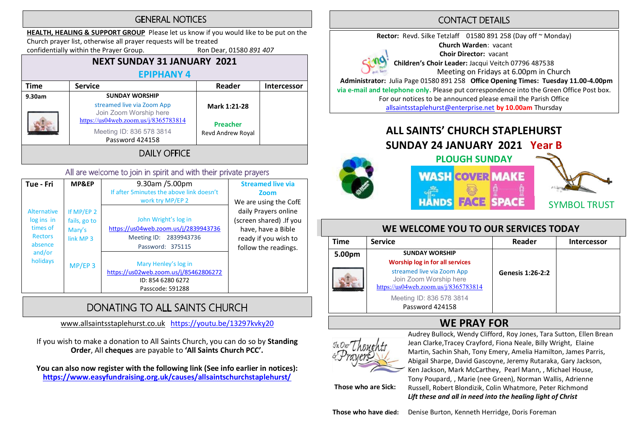## **GENERAL NOTICES**

HEALTH, HEALING & SUPPORT GROUP Please let us know if you would like to be put on the Church prayer list, otherwise all prayer requests will be treated

confidentially within the Prayer Group. Ron Dear, 01580 891 407

#### NEXT SUNDAY 31 JANUARY 2021 **FPIPHANY 4**

| Time   | <b>Service</b>                                                                                                                  | Reader            | <b>Intercessor</b> |  |  |  |  |
|--------|---------------------------------------------------------------------------------------------------------------------------------|-------------------|--------------------|--|--|--|--|
| 9.30am | <b>SUNDAY WORSHIP</b>                                                                                                           |                   |                    |  |  |  |  |
|        | streamed live via Zoom App<br>Mark 1:21-28<br>Join Zoom Worship here<br>https://us04web.zoom.us/j/8365783814<br><b>Preacher</b> |                   |                    |  |  |  |  |
|        | Meeting ID: 836 578 3814<br>Password 424158                                                                                     | Revd Andrew Royal |                    |  |  |  |  |
|        |                                                                                                                                 |                   |                    |  |  |  |  |

#### All are welcome to join in spirit and with their private prayers

| Tue - Fri                                                                                       | MP&EP                                             | 9.30am /5.00pm<br>If after 5 minutes the above link doesn't<br>work try MP/EP 2                            | <b>Streamed live via</b><br>Zoom<br>We are using the CofE                                                             |
|-------------------------------------------------------------------------------------------------|---------------------------------------------------|------------------------------------------------------------------------------------------------------------|-----------------------------------------------------------------------------------------------------------------------|
| <b>Alternative</b><br>log ins in<br>times of<br><b>Rectors</b><br>absence<br>and/or<br>holidays | If MP/EP 2<br>fails, go to<br>Mary's<br>link MP 3 | John Wright's log in<br>https://us04web.zoom.us/j/2839943736<br>Meeting ID: 2839943736<br>Password: 375115 | daily Prayers online<br>(screen shared) .If you<br>have, have a Bible<br>ready if you wish to<br>follow the readings. |
|                                                                                                 | $MP/EP$ 3                                         | Mary Henley's log in<br>https://us02web.zoom.us/j/85462806272<br>ID: 854 6280 6272<br>Passcode: 591288     |                                                                                                                       |

# DONATING TO ALL SAINTS CHURCH

www.allsaintsstaplehurst.co.uk https://youtu.be/13297kvky20

If you wish to make a donation to All Saints Church, you can do so by Standing Order, All cheques are payable to 'All Saints Church PCC'.

You can also now register with the following link (See info earlier in notices): https://www.easyfundraising.org.uk/causes/allsaintschurchstaplehurst/

# **CONTACT DETAILS**

Rector: Revd. Silke Tetzlaff 01580 891 258 (Day off ~ Monday) Church Warden: vacant Choir Director: vacant Children's Choir Leader: Jacqui Veitch 07796 487538 Meeting on Fridays at 6.00pm in Church Administrator: Julia Page 01580 891 258 Office Opening Times: Tuesday 11.00-4.00pm

via e-mail and telephone only. Please put correspondence into the Green Office Post box. For our notices to be announced please email the Parish Office

allsaintsstaplehurst@enterprise.net by 10.00am Thursday

# ALL SAINTS' CHURCH STAPLEHURST SUNDAY 24 JANUARY 2021 Year B







SYMBOL TRUST

## WE WELCOME YOU TO OUR SERVICES TODAY

| <b>Time</b> | <b>Service</b>                                                                               | Reader                  | <b>Intercessor</b> |
|-------------|----------------------------------------------------------------------------------------------|-------------------------|--------------------|
| 5.00pm      | <b>SUNDAY WORSHIP</b><br>Worship log in for all services                                     |                         |                    |
|             | streamed live via Zoom App<br>Join Zoom Worship here<br>https://us04web.zoom.us/j/8365783814 | <b>Genesis 1:26-2:2</b> |                    |
|             | Meeting ID: 836 578 3814<br>Password 424158                                                  |                         |                    |



**WE PRAY FOR**<br>Audrey Bullock, Wendy Clifford, Roy Jones, Tara Sutton, Ellen Brean Jean Clarke,Tracey Crayford, Fiona Neale, Billy Wright, Elaine Martin, Sachin Shah, Tony Emery, Amelia Hamilton, James Parris, Abigail Sharpe, David Gascoyne, Jeremy Rutaraka, Gary Jackson, Ken Jackson, Mark McCarthey, Pearl Mann, , Michael House, Tony Poupard, , Marie (nee Green), Norman Wallis, Adrienne Russell, Robert Blondizik, Colin Whatmore, Peter Richmond Lift these and all in need into the healing light of Christ

Those who are Sick: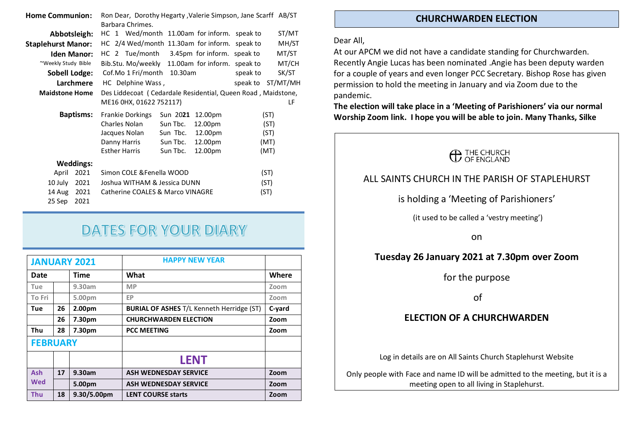| Ron Dear, Dorothy Hegarty, Valerie Simpson, Jane Scarff AB/ST<br><b>Home Communion:</b> |                                                              |                                      |                         |  |                           |                                                 |      |       |
|-----------------------------------------------------------------------------------------|--------------------------------------------------------------|--------------------------------------|-------------------------|--|---------------------------|-------------------------------------------------|------|-------|
|                                                                                         |                                                              | Barbara Chrimes.                     |                         |  |                           |                                                 |      |       |
| Abbotsleigh:                                                                            |                                                              |                                      |                         |  |                           | HC 1 Wed/month 11.00am for inform. speak to     |      | ST/MT |
| <b>Staplehurst Manor:</b>                                                               |                                                              |                                      |                         |  |                           | HC 2/4 Wed/month 11.30am for inform. speak to   |      | MH/ST |
| <b>Iden Manor:</b>                                                                      |                                                              |                                      |                         |  |                           | HC 2 Tue/month 3.45pm for inform. speak to      |      | MT/ST |
| ~Weekly Study Bible                                                                     |                                                              |                                      |                         |  |                           | Bib.Stu. Mo/weekly 11.00am for inform. speak to |      | MT/CH |
| <b>Sobell Lodge:</b>                                                                    |                                                              | Cof.Mo 1 Fri/month 10.30am           |                         |  | speak to                  | SK/ST                                           |      |       |
| Larchmere                                                                               |                                                              | HC Delphine Wass,                    |                         |  | speak to                  | ST/MT/MH                                        |      |       |
| <b>Maidstone Home</b>                                                                   | Des Liddecoat (Cedardale Residential, Queen Road, Maidstone, |                                      |                         |  |                           |                                                 |      |       |
|                                                                                         |                                                              | ME16 0HX, 01622 752117)              |                         |  |                           |                                                 | LF   |       |
| <b>Baptisms:</b>                                                                        |                                                              |                                      | <b>Frankie Dorkings</b> |  | Sun 2021                  | 12.00pm                                         |      | (ST)  |
|                                                                                         |                                                              |                                      | Charles Nolan           |  | Sun Tbc.                  | 12.00pm                                         | (ST) |       |
|                                                                                         |                                                              |                                      | Jacques Nolan           |  | Sun Tbc.                  | 12.00pm                                         | (ST) |       |
|                                                                                         |                                                              |                                      | Danny Harris            |  | Sun Tbc.                  | 12.00pm                                         | (MT) |       |
|                                                                                         |                                                              |                                      | <b>Esther Harris</b>    |  | Sun Tbc.                  | 12.00pm                                         | (MT) |       |
| <b>Weddings:</b>                                                                        |                                                              |                                      |                         |  |                           |                                                 |      |       |
| April                                                                                   | 2021                                                         |                                      |                         |  | Simon COLE & Fenella WOOD |                                                 |      | (ST)  |
| 10 July                                                                                 | 2021                                                         | Joshua WITHAM & Jessica DUNN<br>(ST) |                         |  |                           |                                                 |      |       |
| 2021<br>14 Aug                                                                          |                                                              | Catherine COALES & Marco VINAGRE     |                         |  |                           | (ST)                                            |      |       |
| 25 Sep                                                                                  | 2021                                                         |                                      |                         |  |                           |                                                 |      |       |

# **DATES FOR YOUR DIARY**

|                 | <b>HAPPY NEW YEAR</b><br><b>JANUARY 2021</b> |             |                                                  |        |
|-----------------|----------------------------------------------|-------------|--------------------------------------------------|--------|
| Date            |                                              | <b>Time</b> | What                                             | Where  |
| Tue             |                                              | 9.30am      | <b>MP</b>                                        | Zoom   |
| To Fri          |                                              | 5.00pm      | EP                                               | Zoom   |
| Tue             | 26                                           | 2.00pm      | <b>BURIAL OF ASHES T/L Kenneth Herridge (ST)</b> | C-yard |
|                 | 26                                           | 7.30pm      | <b>CHURCHWARDEN ELECTION</b>                     | Zoom   |
| Thu             | 28                                           | 7.30pm      | <b>PCC MEETING</b>                               | Zoom   |
| <b>FEBRUARY</b> |                                              |             |                                                  |        |
|                 |                                              |             | <b>LENT</b>                                      |        |
| <b>Ash</b>      | 17                                           | 9.30am      | <b>ASH WEDNESDAY SERVICE</b>                     | Zoom   |
| Wed             |                                              | 5.00pm      | <b>ASH WEDNESDAY SERVICE</b>                     | Zoom   |
| <b>Thu</b>      | 18                                           | 9.30/5.00pm | <b>LENT COURSE starts</b>                        | Zoom   |

#### CHURCHWARDEN ELECTION

#### Dear All,

At our APCM we did not have a candidate standing for Churchwarden. Recently Angie Lucas has been nominated .Angie has been deputy warden for a couple of years and even longer PCC Secretary. Bishop Rose has given permission to hold the meeting in January and via Zoom due to the pandemic.

The election will take place in a 'Meeting of Parishioners' via our normal Worship Zoom link. I hope you will be able to join. Many Thanks, Silke



## ALL SAINTS CHURCH IN THE PARISH OF STAPI FHURST

### is holding a 'Meeting of Parishioners'

(it used to be called a 'vestry meeting')

on

## Tuesday 26 January 2021 at 7.30pm over Zoom

for the purpose

of

### ELECTION OF A CHURCHWARDEN

Log in details are on All Saints Church Staplehurst Website

Only people with Face and name ID will be admitted to the meeting, but it is a meeting open to all living in Staplehurst.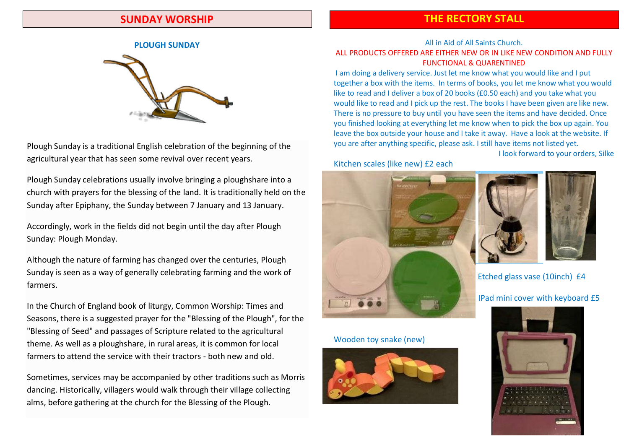## SUNDAY WORSHIP

# THE RECTORY STALL

#### PLOUGH SUNDAY



Plough Sunday is a traditional English celebration of the beginning of the agricultural year that has seen some revival over recent years.

Plough Sunday celebrations usually involve bringing a ploughshare into a church with prayers for the blessing of the land. It is traditionally held on the Sunday after Epiphany, the Sunday between 7 January and 13 January.

Accordingly, work in the fields did not begin until the day after Plough Sunday: Plough Monday.

Although the nature of farming has changed over the centuries, Plough Sunday is seen as a way of generally celebrating farming and the work of farmers.

In the Church of England book of liturgy, Common Worship: Times and Seasons, there is a suggested prayer for the "Blessing of the Plough", for the "Blessing of Seed" and passages of Scripture related to the agricultural theme. As well as a ploughshare, in rural areas, it is common for local farmers to attend the service with their tractors - both new and old.

Sometimes, services may be accompanied by other traditions such as Morris dancing. Historically, villagers would walk through their village collecting alms, before gathering at the church for the Blessing of the Plough.

#### All in Aid of All Saints Church. ALL PRODUCTS OFFERED ARE EITHER NEW OR IN LIKE NEW CONDITION AND FULLY FUNCTIONAL & QUARENTINED

I am doing a delivery service. Just let me know what you would like and I put together a box with the items. In terms of books, you let me know what you would like to read and I deliver a box of 20 books (£0.50 each) and you take what you would like to read and I pick up the rest. The books I have been given are like new. There is no pressure to buy until you have seen the items and have decided. Once you finished looking at everything let me know when to pick the box up again. You leave the box outside your house and I take it away. Have a look at the website. If you are after anything specific, please ask. I still have items not listed yet.

I look forward to your orders, Silke

#### Kitchen scales (like new) £2 each



#### Wooden toy snake (new)





Etched glass vase (10inch) £4

#### IPad mini cover with keyboard £5

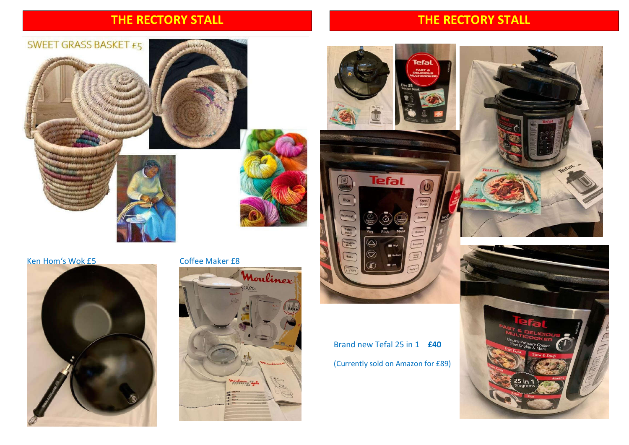# THE RECTORY STALL

# THE RECTORY STALL

Tefal

 $\overline{\omega}$ 











Brand new Tefal 25 in 1 £40 (Currently sold on Amazon for £89)

**Tefal** 

 $\triangle$  $\widehat{\bigcirc}$